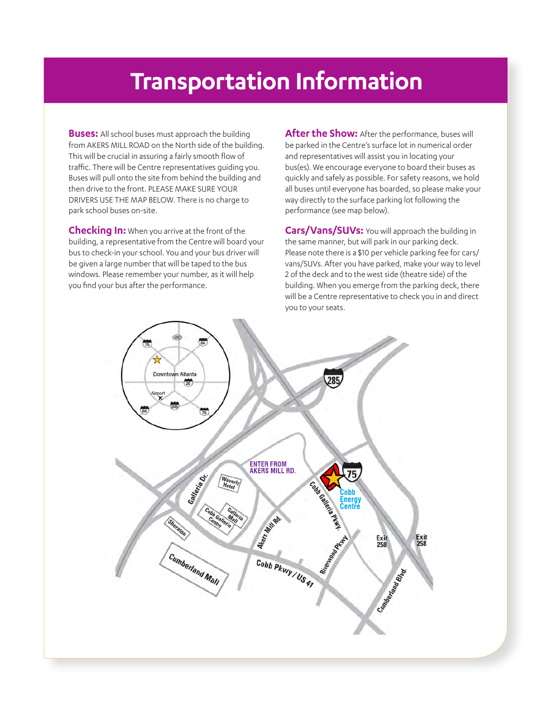## **Transportation Information**

**Buses:** All school buses must approach the building from AKERS MILL ROAD on the North side of the building. This will be crucial in assuring a fairly smooth flow of traffic. There will be Centre representatives guiding you. Buses will pull onto the site from behind the building and then drive to the front. PLEASE MAKE SURE YOUR DRIVERS USE THE MAP BELOW. There is no charge to park school buses on-site.

**Checking In:** When you arrive at the front of the building, a representative from the Centre will board your bus to check-in your school. You and your bus driver will be given a large number that will be taped to the bus windows. Please remember your number, as it will help you find your bus after the performance.

**After the Show:** After the performance, buses will be parked in the Centre's surface lot in numerical order and representatives will assist you in locating your bus(es). We encourage everyone to board their buses as quickly and safely as possible. For safety reasons, we hold all buses until everyone has boarded, so please make your way directly to the surface parking lot following the performance (see map below).

**Cars/Vans/SUVs:** You will approach the building in the same manner, but will park in our parking deck. Please note there is a \$10 per vehicle parking fee for cars/ vans/SUVs. After you have parked, make your way to level 2 of the deck and to the west side (theatre side) of the building. When you emerge from the parking deck, there will be a Centre representative to check you in and direct you to your seats.